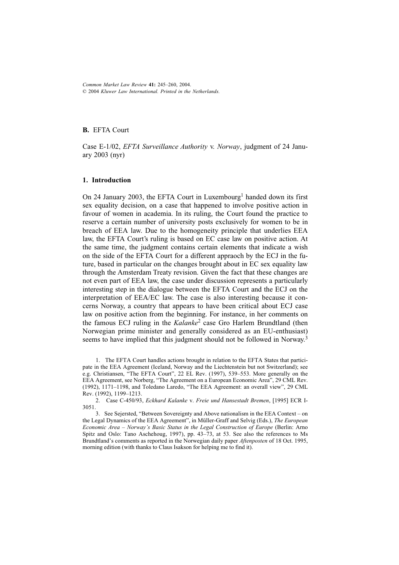*Common Market Law Review* **41:** 245–260, 2004. © 2004 *Kluwer Law International. Printed in the Netherlands.*

# **B.** EFTA Court

Case E-1/02, *EFTA Surveillance Authority* v. *Norway*, judgment of 24 January 2003 (nyr)

### **1. Introduction**

On 24 January 2003, the EFTA Court in Luxembourg<sup>1</sup> handed down its first sex equality decision, on a case that happened to involve positive action in favour of women in academia. In its ruling, the Court found the practice to reserve a certain number of university posts exclusively for women to be in breach of EEA law. Due to the homogeneity principle that underlies EEA law, the EFTA Court's ruling is based on EC case law on positive action. At the same time, the judgment contains certain elements that indicate a wish on the side of the EFTA Court for a different appraoch by the ECJ in the future, based in particular on the changes brought about in EC sex equality law through the Amsterdam Treaty revision. Given the fact that these changes are not even part of EEA law, the case under discussion represents a particularly interesting step in the dialogue between the EFTA Court and the ECJ on the interpretation of EEA/EC law. The case is also interesting because it concerns Norway, a country that appears to have been critical about ECJ case law on positive action from the beginning. For instance, in her comments on the famous ECJ ruling in the *Kalanke*2 case Gro Harlem Brundtland (then Norwegian prime minister and generally considered as an EU-enthusiast) seems to have implied that this judgment should not be followed in Norway.<sup>3</sup>

 <sup>1.</sup> The EFTA Court handles actions brought in relation to the EFTA States that participate in the EEA Agreement (Iceland, Norway and the Liechtenstein but not Switzerland); see e.g. Christiansen, "The EFTA Court", 22 EL Rev. (1997), 539–553. More generally on the EEA Agreement, see Norberg, "The Agreement on a European Economic Area", 29 CML Rev. (1992), 1171–1198, and Toledano Laredo, "The EEA Agreement: an overall view", 29 CML Rev. (1992), 1199–1213.

 <sup>2.</sup> Case C-450/93, *Eckhard Kalanke* v. *Freie und Hansestadt Bremen*, [1995] ECR I-3051.

 <sup>3.</sup> See Sejersted, "Between Sovereignty and Above nationalism in the EEA Context – on the Legal Dynamics of the EEA Agreement", in Müller-Graff and Selvig (Eds.), *The European Economic Area – Norway's Basic Status in the Legal Construction of Europe* (Berlin: Arno Spitz and Oslo: Tano Aschehoug, 1997), pp. 43–73, at 53. See also the references to Ms Brundtland's comments as reported in the Norwegian daily paper *Aftenposten* of 18 Oct. 1995, morning edition (with thanks to Claus Isakson for helping me to find it).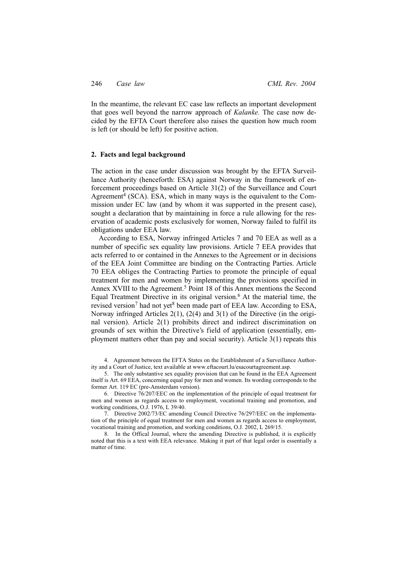In the meantime, the relevant EC case law reflects an important development that goes well beyond the narrow approach of *Kalanke.* The case now decided by the EFTA Court therefore also raises the question how much room is left (or should be left) for positive action.

### **2. Facts and legal background**

The action in the case under discussion was brought by the EFTA Surveillance Authority (henceforth: ESA) against Norway in the framework of enforcement proceedings based on Article 31(2) of the Surveillance and Court Agreement<sup>4</sup> (SCA). ESA, which in many ways is the equivalent to the Commission under EC law (and by whom it was supported in the present case), sought a declaration that by maintaining in force a rule allowing for the reservation of academic posts exclusively for women, Norway failed to fulfil its obligations under EEA law.

According to ESA, Norway infringed Articles 7 and 70 EEA as well as a number of specific sex equality law provisions. Article 7 EEA provides that acts referred to or contained in the Annexes to the Agreement or in decisions of the EEA Joint Committee are binding on the Contracting Parties. Article 70 EEA obliges the Contracting Parties to promote the principle of equal treatment for men and women by implementing the provisions specified in Annex XVIII to the Agreement.<sup>5</sup> Point 18 of this Annex mentions the Second Equal Treatment Directive in its original version.6 At the material time, the revised version<sup>7</sup> had not yet<sup>8</sup> been made part of EEA law. According to ESA, Norway infringed Articles 2(1), (2(4) and 3(1) of the Directive (in the original version). Article 2(1) prohibits direct and indirect discrimination on grounds of sex within the Directive's field of application (essentially, employment matters other than pay and social security). Article 3(1) repeats this

 4. Agreement between the EFTA States on the Establishment of a Surveillance Authority and a Court of Justice, text available at www.eftacourt.lu/esacourtagreement.asp.

 5. The only substantive sex equality provision that can be found in the EEA Agreement itself is Art. 69 EEA, concerning equal pay for men and women. Its wording corresponds to the former Art. 119 EC (pre-Amsterdam version).

 6. Directive 76/207/EEC on the implementation of the principle of equal treatment for men and women as regards access to employment, vocational training and promotion, and working conditions, O.J. 1976, L 39/40.

 7. Directive 2002/73/EC amending Council Directive 76/297/EEC on the implementation of the principle of equal treatment for men and women as regards access to employment, vocational training and promotion, and working conditions, O.J. 2002, L 269/15.

 8. In the Offical Journal, where the amending Directive is published, it is explicitly noted that this is a text with EEA relevance. Making it part of that legal order is essentially a matter of time.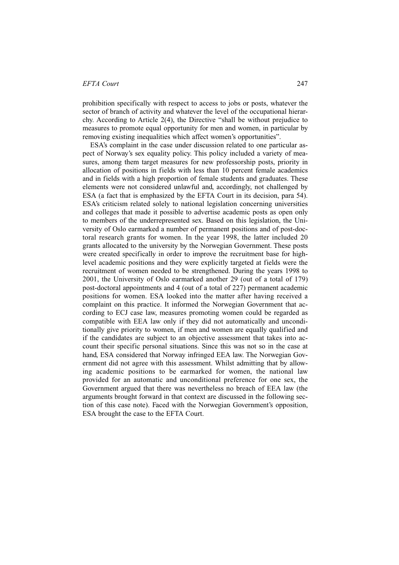prohibition specifically with respect to access to jobs or posts, whatever the sector of branch of activity and whatever the level of the occupational hierarchy. According to Article 2(4), the Directive "shall be without prejudice to measures to promote equal opportunity for men and women, in particular by removing existing inequalities which affect women's opportunities".

ESA's complaint in the case under discussion related to one particular aspect of Norway's sex equality policy. This policy included a variety of measures, among them target measures for new professorship posts, priority in allocation of positions in fields with less than 10 percent female academics and in fields with a high proportion of female students and graduates. These elements were not considered unlawful and, accordingly, not challenged by ESA (a fact that is emphasized by the EFTA Court in its decision, para 54). ESA's criticism related solely to national legislation concerning universities and colleges that made it possible to advertise academic posts as open only to members of the underrepresented sex. Based on this legislation, the University of Oslo earmarked a number of permanent positions and of post-doctoral research grants for women. In the year 1998, the latter included 20 grants allocated to the university by the Norwegian Government. These posts were created specifically in order to improve the recruitment base for highlevel academic positions and they were explicitly targeted at fields were the recruitment of women needed to be strengthened. During the years 1998 to 2001, the University of Oslo earmarked another 29 (out of a total of 179) post-doctoral appointments and 4 (out of a total of 227) permanent academic positions for women. ESA looked into the matter after having received a complaint on this practice. It informed the Norwegian Government that according to ECJ case law, measures promoting women could be regarded as compatible with EEA law only if they did not automatically and unconditionally give priority to women, if men and women are equally qualified and if the candidates are subject to an objective assessment that takes into account their specific personal situations. Since this was not so in the case at hand, ESA considered that Norway infringed EEA law. The Norwegian Government did not agree with this assessment. Whilst admitting that by allowing academic positions to be earmarked for women, the national law provided for an automatic and unconditional preference for one sex, the Government argued that there was nevertheless no breach of EEA law (the arguments brought forward in that context are discussed in the following section of this case note). Faced with the Norwegian Government's opposition, ESA brought the case to the EFTA Court.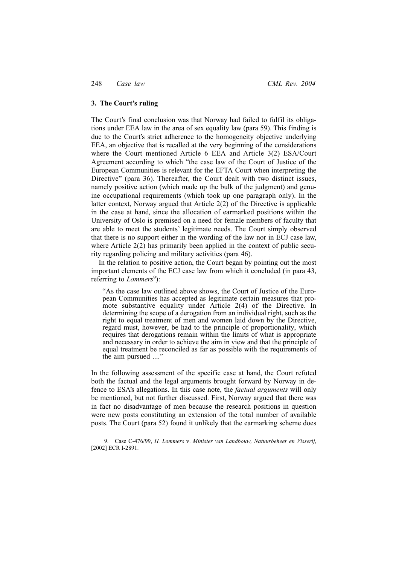### **3. The Court's ruling**

The Court's final conclusion was that Norway had failed to fulfil its obligations under EEA law in the area of sex equality law (para 59). This finding is due to the Court's strict adherence to the homogeneity objective underlying EEA, an objective that is recalled at the very beginning of the considerations where the Court mentioned Article 6 EEA and Article 3(2) ESA/Court Agreement according to which "the case law of the Court of Justice of the European Communities is relevant for the EFTA Court when interpreting the Directive" (para 36). Thereafter, the Court dealt with two distinct issues, namely positive action (which made up the bulk of the judgment) and genuine occupational requirements (which took up one paragraph only). In the latter context, Norway argued that Article 2(2) of the Directive is applicable in the case at hand, since the allocation of earmarked positions within the University of Oslo is premised on a need for female members of faculty that are able to meet the students' legitimate needs. The Court simply observed that there is no support either in the wording of the law nor in ECJ case law, where Article 2(2) has primarily been applied in the context of public security regarding policing and military activities (para 46).

In the relation to positive action, the Court began by pointing out the most important elements of the ECJ case law from which it concluded (in para 43, referring to *Lommers*<sup>9</sup>):

"As the case law outlined above shows, the Court of Justice of the European Communities has accepted as legitimate certain measures that promote substantive equality under Article 2(4) of the Directive. In determining the scope of a derogation from an individual right, such as the right to equal treatment of men and women laid down by the Directive, regard must, however, be had to the principle of proportionality, which requires that derogations remain within the limits of what is appropriate and necessary in order to achieve the aim in view and that the principle of equal treatment be reconciled as far as possible with the requirements of the aim pursued ...."

In the following assessment of the specific case at hand, the Court refuted both the factual and the legal arguments brought forward by Norway in defence to ESA's allegations. In this case note, the *factual arguments* will only be mentioned, but not further discussed. First, Norway argued that there was in fact no disadvantage of men because the research positions in question were new posts constituting an extension of the total number of available posts. The Court (para 52) found it unlikely that the earmarking scheme does

 9. Case C-476/99, *H. Lommers* v. *Minister van Landbouw, Natuurbeheer en Visserij*, [2002] ECR I-2891.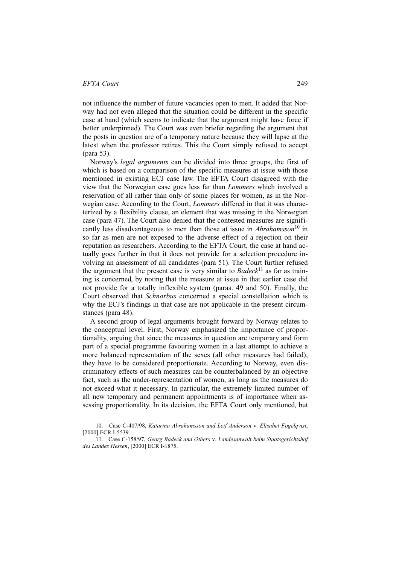not influence the number of future vacancies open to men. It added that Norway had not even alleged that the situation could be different in the specific case at hand (which seems to indicate that the argument might have force if better underpinned). The Court was even briefer regarding the argument that the posts in question are of a temporary nature because they will lapse at the latest when the professor retires. This the Court simply refused to accept (para 53).

Norway's *legal arguments* can be divided into three groups, the first of which is based on a comparison of the specific measures at issue with those mentioned in existing ECJ case law. The EFTA Court disagreed with the view that the Norwegian case goes less far than *Lommers* which involved a reservation of all rather than only of some places for women, as in the Norwegian case. According to the Court, *Lommers* differed in that it was characterized by a flexibility clause, an element that was missing in the Norwegian case (para 47). The Court also denied that the contested measures are significantly less disadvantageous to men than those at issue in *Abrahamsson*<sup>10</sup> in so far as men are not exposed to the adverse effect of a rejection on their reputation as researchers. According to the EFTA Court, the case at hand actually goes further in that it does not provide for a selection procedure involving an assessment of all candidates (para 51). The Court further refused the argument that the present case is very similar to *Badeck*11 as far as training is concerned, by noting that the measure at issue in that earlier case did not provide for a totally inflexible system (paras. 49 and 50). Finally, the Court observed that *Schnorbus* concerned a special constellation which is why the ECJ's findings in that case are not applicable in the present circumstances (para 48).

A second group of legal arguments brought forward by Norway relates to the conceptual level. First, Norway emphasized the importance of proportionality, arguing that since the measures in question are temporary and form part of a special programme favouring women in a last attempt to achieve a more balanced representation of the sexes (all other measures had failed), they have to be considered proportionate. According to Norway, even discriminatory effects of such measures can be counterbalanced by an objective fact, such as the under-representation of women, as long as the measures do not exceed what it necessary. In particular, the extremely limited number of all new temporary and permanent appointments is of importance when assessing proportionality. In its decision, the EFTA Court only mentioned, but

 <sup>10.</sup> Case C-407/98, *Katarina Abrahamsson and Leif Anderson* v. *Elisabet Fogelqvist*, [2000] ECR I-5539.

 <sup>11.</sup> Case C-158/97, *Georg Badeck and Others* v. *Landesanwalt beim Staatsgerichtshof des Landes Hessen*, [2000] ECR I-1875.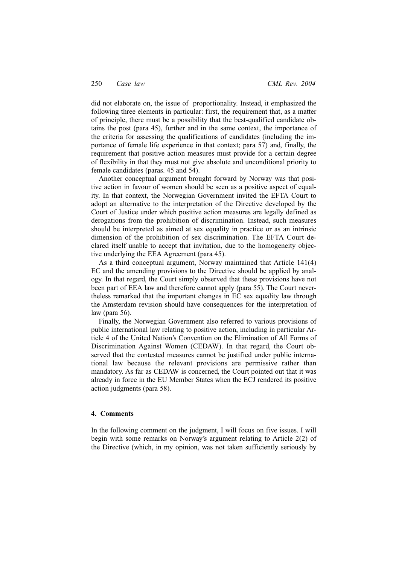did not elaborate on, the issue of proportionality. Instead, it emphasized the following three elements in particular: first, the requirement that, as a matter of principle, there must be a possibility that the best-qualified candidate obtains the post (para 45), further and in the same context, the importance of the criteria for assessing the qualifications of candidates (including the importance of female life experience in that context; para 57) and, finally, the requirement that positive action measures must provide for a certain degree of flexibility in that they must not give absolute and unconditional priority to female candidates (paras. 45 and 54).

Another conceptual argument brought forward by Norway was that positive action in favour of women should be seen as a positive aspect of equality. In that context, the Norwegian Government invited the EFTA Court to adopt an alternative to the interpretation of the Directive developed by the Court of Justice under which positive action measures are legally defined as derogations from the prohibition of discrimination. Instead, such measures should be interpreted as aimed at sex equality in practice or as an intrinsic dimension of the prohibition of sex discrimination. The EFTA Court declared itself unable to accept that invitation, due to the homogeneity objective underlying the EEA Agreement (para 45).

As a third conceptual argument, Norway maintained that Article 141(4) EC and the amending provisions to the Directive should be applied by analogy. In that regard, the Court simply observed that these provisions have not been part of EEA law and therefore cannot apply (para 55). The Court nevertheless remarked that the important changes in EC sex equality law through the Amsterdam revision should have consequences for the interpretation of law (para 56).

Finally, the Norwegian Government also referred to various provisions of public international law relating to positive action, including in particular Article 4 of the United Nation's Convention on the Elimination of All Forms of Discrimination Against Women (CEDAW). In that regard, the Court observed that the contested measures cannot be justified under public international law because the relevant provisions are permissive rather than mandatory. As far as CEDAW is concerned, the Court pointed out that it was already in force in the EU Member States when the ECJ rendered its positive action judgments (para 58).

# **4. Comments**

In the following comment on the judgment, I will focus on five issues. I will begin with some remarks on Norway's argument relating to Article 2(2) of the Directive (which, in my opinion, was not taken sufficiently seriously by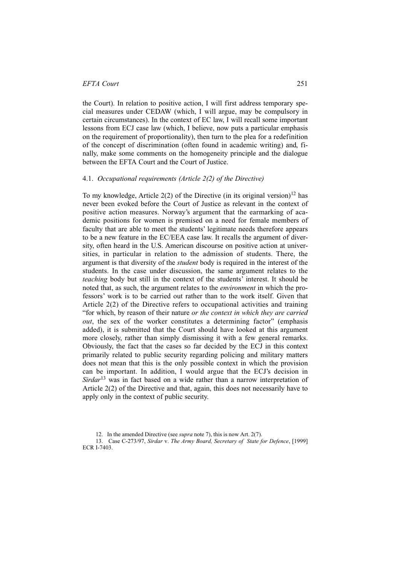the Court). In relation to positive action, I will first address temporary special measures under CEDAW (which, I will argue, may be compulsory in certain circumstances). In the context of EC law, I will recall some important lessons from ECJ case law (which, I believe, now puts a particular emphasis on the requirement of proportionality), then turn to the plea for a redefinition of the concept of discrimination (often found in academic writing) and, finally, make some comments on the homogeneity principle and the dialogue between the EFTA Court and the Court of Justice.

#### 4.1. *Occupational requirements (Article 2(2) of the Directive)*

To my knowledge, Article  $2(2)$  of the Directive (in its original version)<sup>12</sup> has never been evoked before the Court of Justice as relevant in the context of positive action measures. Norway's argument that the earmarking of academic positions for women is premised on a need for female members of faculty that are able to meet the students' legitimate needs therefore appears to be a new feature in the EC/EEA case law. It recalls the argument of diversity, often heard in the U.S. American discourse on positive action at universities, in particular in relation to the admission of students. There, the argument is that diversity of the *student* body is required in the interest of the students. In the case under discussion, the same argument relates to the *teaching* body but still in the context of the students' interest. It should be noted that, as such, the argument relates to the *environment* in which the professors' work is to be carried out rather than to the work itself. Given that Article 2(2) of the Directive refers to occupational activities and training "for which, by reason of their nature *or the context in which they are carried out*, the sex of the worker constitutes a determining factor" (emphasis added), it is submitted that the Court should have looked at this argument more closely, rather than simply dismissing it with a few general remarks. Obviously, the fact that the cases so far decided by the ECJ in this context primarily related to public security regarding policing and military matters does not mean that this is the only possible context in which the provision can be important. In addition, I would argue that the ECJ's decision in *Sirdar*13 was in fact based on a wide rather than a narrow interpretation of Article 2(2) of the Directive and that, again, this does not necessarily have to apply only in the context of public security.

 <sup>12.</sup> In the amended Directive (see *supra* note 7), this is now Art. 2(7).

 <sup>13.</sup> Case C-273/97, *Sirdar* v. *The Army Board, Secretary of State for Defence*, [1999] ECR I-7403.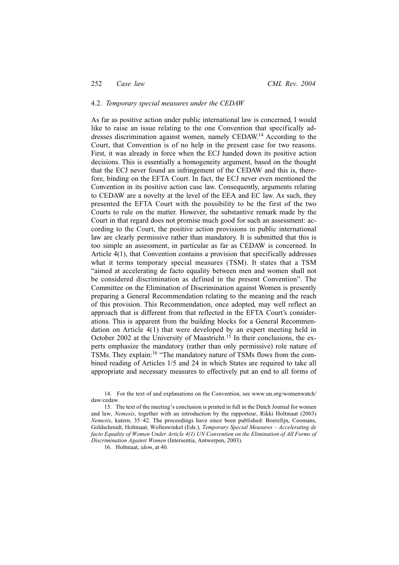#### 4.2. *Temporary special measures under the CEDAW*

As far as positive action under public international law is concerned, I would like to raise an issue relating to the one Convention that specifically addresses discrimination against women, namely CEDAW.14 According to the Court, that Convention is of no help in the present case for two reasons. First, it was already in force when the ECJ handed down its positive action decisions. This is essentially a homogeneity argument, based on the thought that the ECJ never found an infringement of the CEDAW and this is, therefore, binding on the EFTA Court. In fact, the ECJ never even mentioned the Convention in its positive action case law. Consequently, arguments relating to CEDAW are a novelty at the level of the EEA and EC law. As such, they presented the EFTA Court with the possibility to be the first of the two Courts to rule on the matter. However, the substantive remark made by the Court in that regard does not promise much good for such an assessment: according to the Court, the positive action provisions in public international law are clearly permissive rather than mandatory. It is submitted that this is too simple an assessment, in particular as far as CEDAW is concerned. In Article 4(1), that Convention contains a provision that specifically addresses what it terms temporary special measures (TSM). It states that a TSM "aimed at accelerating de facto equality between men and women shall not be considered discrimination as defined in the present Convention". The Committee on the Elimination of Discrimination against Women is presently preparing a General Recommendation relating to the meaning and the reach of this provision. This Recommendation, once adopted, may well reflect an approach that is different from that reflected in the EFTA Court's considerations. This is apparent from the building blocks for a General Recommendation on Article 4(1) that were developed by an expert meeting held in October 2002 at the University of Maastricht.<sup>15</sup> In their conclusions, the experts emphasize the mandatory (rather than only permissive) role nature of TSMs. They explain:<sup>16</sup> "The mandatory nature of TSMs flows from the combined reading of Articles 1/5 and 24 in which States are required to take all appropriate and necessary measures to effectively put an end to all forms of

 14. For the text of and explanations on the Convention, see www.un.org/womenwatch/ daw/cedaw.

 15. The text of the meeting's conclusion is printed in full in the Dutch Journal for women and law, *Nemesis*, together with an introduction by the rapporteur, Rikki Holtmaat (2003) *Nemesis*, katern, 35–42. The proceedings have since been published: Boerefijn, Coomans, Goldschmidt, Holtmaat, Wolleswinkel (Eds.), *Temporary Special Measures – Accelerating de facto Equality of Women Under Article 4(1) UN Convention on the Elimination of All Forms of Discrimination Against Women* (Intersentia, Antwerpen, 2003).

16. Holtmaat, *idem*, at 40.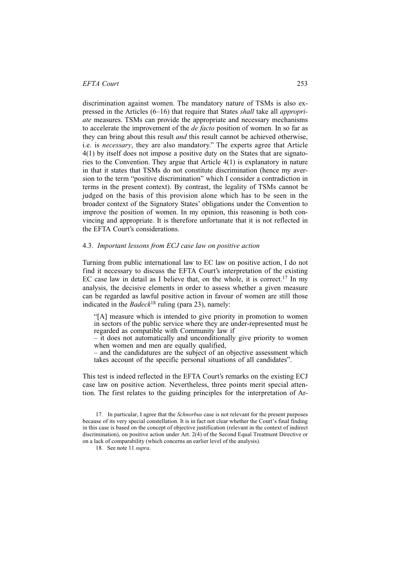discrimination against women. The mandatory nature of TSMs is also expressed in the Articles (6–16) that require that States *shall* take all *appropriate* measures. TSMs can provide the appropriate and necessary mechanisms to accelerate the improvement of the *de facto* position of women. In so far as they can bring about this result *and* this result cannot be achieved otherwise, i.e. is *necessary*, they are also mandatory." The experts agree that Article 4(1) by itself does not impose a positive duty on the States that are signatories to the Convention. They argue that Article 4(1) is explanatory in nature in that it states that TSMs do not constitute discrimination (hence my aversion to the term "positive discrimination" which I consider a contradiction in terms in the present context). By contrast, the legality of TSMs cannot be judged on the basis of this provision alone which has to be seen in the broader context of the Signatory States' obligations under the Convention to improve the position of women. In my opinion, this reasoning is both convincing and appropriate. It is therefore unfortunate that it is not reflected in the EFTA Court's considerations.

### 4.3. *Important lessons from ECJ case law on positive action*

Turning from public international law to EC law on positive action, I do not find it necessary to discuss the EFTA Court's interpretation of the existing EC case law in detail as I believe that, on the whole, it is correct.<sup>17</sup> In my analysis, the decisive elements in order to assess whether a given measure can be regarded as lawful positive action in favour of women are still those indicated in the *Badeck*<sup>18</sup> ruling (para 23), namely:

"[A] measure which is intended to give priority in promotion to women in sectors of the public service where they are under-represented must be regarded as compatible with Community law if

– it does not automatically and unconditionally give priority to women when women and men are equally qualified,

– and the candidatures are the subject of an objective assessment which takes account of the specific personal situations of all candidates".

This test is indeed reflected in the EFTA Court's remarks on the existing ECJ case law on positive action. Nevertheless, three points merit special attention. The first relates to the guiding principles for the interpretation of Ar-

18. See note 11 *supra*.

 <sup>17.</sup> In particular, I agree that the *Schnorbus* case is not relevant for the present purposes because of its very special constellation. It is in fact not clear whether the Court's final finding in this case is based on the concept of objective justification (relevant in the context of indirect discrimination), on positive action under Art. 2(4) of the Second Equal Treatment Directive or on a lack of comparability (which concerns an earlier level of the analysis).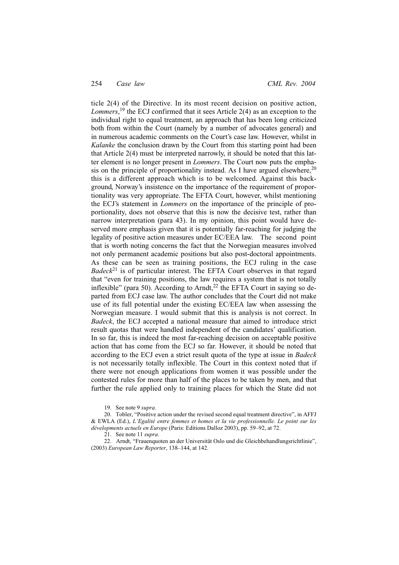ticle 2(4) of the Directive. In its most recent decision on positive action, *Lommers*, 19 the ECJ confirmed that it sees Article 2(4) as an exception to the individual right to equal treatment, an approach that has been long criticized both from within the Court (namely by a number of advocates general) and in numerous academic comments on the Court's case law. However, whilst in *Kalanke* the conclusion drawn by the Court from this starting point had been that Article 2(4) must be interpreted narrowly, it should be noted that this latter element is no longer present in *Lommers*. The Court now puts the emphasis on the principle of proportionality instead. As I have argued elsewhere,  $20$ this is a different approach which is to be welcomed. Against this background, Norway's insistence on the importance of the requirement of proportionality was very appropriate. The EFTA Court, however, whilst mentioning the ECJ's statement in *Lommers* on the importance of the principle of proportionality, does not observe that this is now the decisive test, rather than narrow interpretation (para 43). In my opinion, this point would have deserved more emphasis given that it is potentially far-reaching for judging the legality of positive action measures under EC/EEA law. The second point that is worth noting concerns the fact that the Norwegian measures involved not only permanent academic positions but also post-doctoral appointments. As these can be seen as training positions, the ECJ ruling in the case *Badeck*21 is of particular interest. The EFTA Court observes in that regard that "even for training positions, the law requires a system that is not totally inflexible" (para 50). According to Arndt,<sup>22</sup> the EFTA Court in saying so departed from ECJ case law. The author concludes that the Court did not make use of its full potential under the existing EC/EEA law when assessing the Norwegian measure. I would submit that this is analysis is not correct. In *Badeck*, the ECJ accepted a national measure that aimed to introduce strict result quotas that were handled independent of the candidates' qualification. In so far, this is indeed the most far-reaching decision on acceptable positive action that has come from the ECJ so far. However, it should be noted that according to the ECJ even a strict result quota of the type at issue in *Badeck* is not necessarily totally inflexible. The Court in this context noted that if there were not enough applications from women it was possible under the contested rules for more than half of the places to be taken by men, and that further the rule applied only to training places for which the State did not

19. See note 9 *supra*.

 20. Tobler, "Positive action under the revised second equal treatment directive", in AFFJ & EWLA (Ed.), *L'Egalité entre femmes et homes et la vie professionnelle. Le point sur les dévelopments actuels en Europe* (Paris: Editions Dalloz 2003), pp. 59–92, at 72.

21. See note 11 *supra*.

 22. Arndt, "Frauenquoten an der Universität Oslo und die Gleichbehandlungsrichtlinie", (2003) *European Law Reporter*, 138–144, at 142.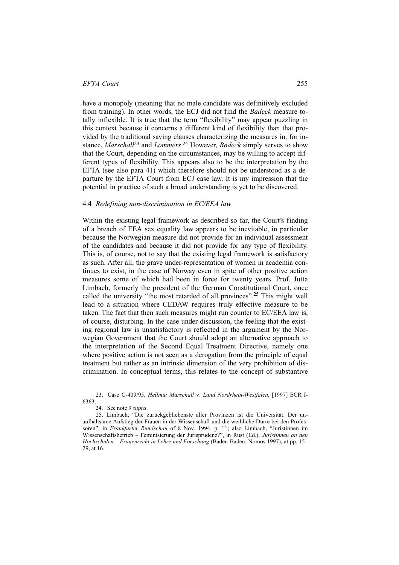have a monopoly (meaning that no male candidate was definitively excluded from training). In other words, the ECJ did not find the *Badeck* measure totally inflexible. It is true that the term "flexibility" may appear puzzling in this context because it concerns a different kind of flexibility than that provided by the traditional saving clauses characterizing the measures in, for instance, *Marschall*23 and *Lommers*. 24 However, *Badeck* simply serves to show that the Court, depending on the circumstances, may be willing to accept different types of flexibility. This appears also to be the interpretation by the EFTA (see also para 41) which therefore should not be understood as a departure by the EFTA Court from ECJ case law. It is my impression that the potential in practice of such a broad understanding is yet to be discovered.

#### 4.4 *Redefining non-discrimination in EC/EEA law*

Within the existing legal framework as described so far, the Court's finding of a breach of EEA sex equality law appears to be inevitable, in particular because the Norwegian measure did not provide for an individual assessment of the candidates and because it did not provide for any type of flexibility. This is, of course, not to say that the existing legal framework is satisfactory as such. After all, the grave under-representation of women in academia continues to exist, in the case of Norway even in spite of other positive action measures some of which had been in force for twenty years. Prof. Jutta Limbach, formerly the president of the German Constitutional Court, once called the university "the most retarded of all provinces".25 This might well lead to a situation where CEDAW requires truly effective measure to be taken. The fact that then such measures might run counter to EC/EEA law is, of course, disturbing. In the case under discussion, the feeling that the existing regional law is unsatisfactory is reflected in the argument by the Norwegian Government that the Court should adopt an alternative approach to the interpretation of the Second Equal Treatment Directive, namely one where positive action is not seen as a derogation from the principle of equal treatment but rather as an intrinsic dimension of the very prohibition of discrimination. In conceptual terms, this relates to the concept of substantive

 <sup>23.</sup> Case C-409/95, *Hellmut Marschall* v. *Land Nordrhein-Westfalen*, [1997] ECR I-6363.

 <sup>24.</sup> See note 9 *supra*.

 <sup>25.</sup> Limbach, "Die zurückgebliebenste aller Provinzen ist die Universität. Der unaufhaltsame Aufstieg der Frauen in der Wissenschaft und die weibliche Dürre bei den Professoren", in *Frankfurter Rundschau* of 8 Nov. 1994, p. 11; also Limbach, "Juristinnen im Wissenschaftsbetrieb – Feminisierung der Jurisprudenz?", in Rust (Ed.), *Juristinnen an den Hochschulen – Frauenrecht in Lehre und Forschung* (Baden-Baden: Nomos 1997), at pp. 15– 29, at 16.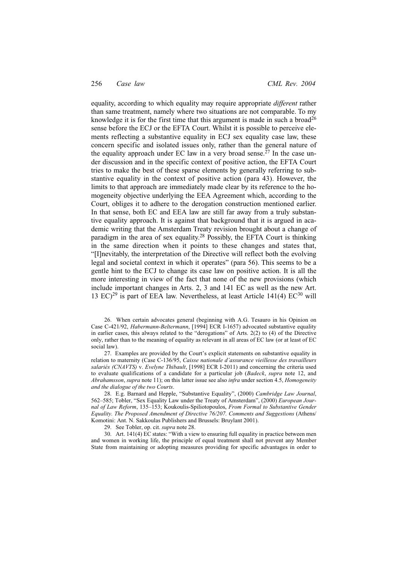### 256 *Case law CML Rev. 2004*

equality, according to which equality may require appropriate *different* rather than same treatment, namely where two situations are not comparable. To my knowledge it is for the first time that this argument is made in such a broad<sup>26</sup> sense before the ECJ or the EFTA Court. Whilst it is possible to perceive elements reflecting a substantive equality in ECJ sex equality case law, these concern specific and isolated issues only, rather than the general nature of the equality approach under EC law in a very broad sense.<sup>27</sup> In the case under discussion and in the specific context of positive action, the EFTA Court tries to make the best of these sparse elements by generally referring to substantive equality in the context of positive action (para 43). However, the limits to that approach are immediately made clear by its reference to the homogeneity objective underlying the EEA Agreement which, according to the Court, obliges it to adhere to the derogation construction mentioned earlier. In that sense, both EC and EEA law are still far away from a truly substantive equality approach. It is against that background that it is argued in academic writing that the Amsterdam Treaty revision brought about a change of paradigm in the area of sex equality.28 Possibly, the EFTA Court is thinking in the same direction when it points to these changes and states that, "[I]nevitably, the interpretation of the Directive will reflect both the evolving legal and societal context in which it operates" (para 56). This seems to be a gentle hint to the ECJ to change its case law on positive action. It is all the more interesting in view of the fact that none of the new provisions (which include important changes in Arts. 2, 3 and 141 EC as well as the new Art. 13 EC)<sup>29</sup> is part of EEA law. Nevertheless, at least Article 141(4) EC<sup>30</sup> will

 26. When certain advocates general (beginning with A.G. Tesauro in his Opinion on Case C-421/92, *Habermann-Beltermann*, [1994] ECR I-1657) advocated substantive equality in earlier cases, this always related to the "derogations" of Arts. 2(2) to (4) of the Directive only, rather than to the meaning of equality as relevant in all areas of EC law (or at least of EC social law).

 27. Examples are provided by the Court's explicit statements on substantive equality in relation to maternity (Case C-136/95, *Caisse nationale d'assurance vieillesse des travailleurs salariés (CNAVTS)* v. *Evelyne Thibault*, [1998] ECR I-2011) and concerning the criteria used to evaluate qualifications of a candidate for a particular job (*Badeck*, *supra* note 12, and *Abrahamsson*, *supra* note 11); on this latter issue see also *infra* under section 4.5, *Homogeneity and the dialogue of the two Courts*.

 28. E.g. Barnard and Hepple, "Substantive Equality", (2000) *Cambridge Law Journal*, 562–585; Tobler, "Sex Equality Law under the Treaty of Amsterdam", (2000) *European Journal of Law Reform*, 135–153; Koukoulis-Spiliotopoulos, *From Formal to Substantive Gender Equality. The Proposed Amendment of Directive 76/207. Comments and Suggestions* (Athens/ Komotini: Ant. N. Sakkoulas Publishers and Brussels: Bruylant 2001).

29. See Tobler, op. cit. *supra* note 28.

 30. Art. 141(4) EC states: "With a view to ensuring full equality in practice between men and women in working life, the principle of equal treatment shall not prevent any Member State from maintaining or adopting measures providing for specific advantages in order to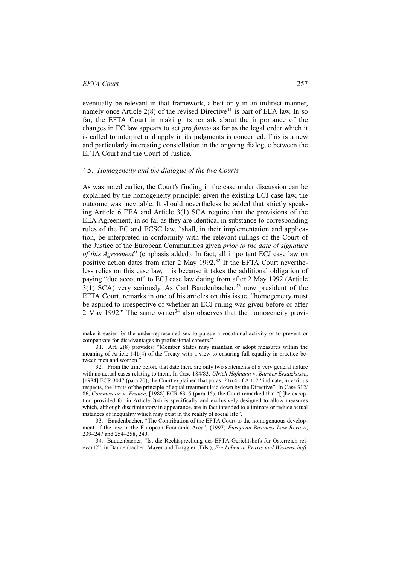eventually be relevant in that framework, albeit only in an indirect manner, namely once Article  $2(8)$  of the revised Directive<sup>31</sup> is part of EEA law. In so far, the EFTA Court in making its remark about the importance of the changes in EC law appears to act *pro futuro* as far as the legal order which it is called to interpret and apply in its judgments is concerned. This is a new and particularly interesting constellation in the ongoing dialogue between the EFTA Court and the Court of Justice.

### 4.5. *Homogeneity and the dialogue of the two Courts*

As was noted earlier, the Court's finding in the case under discussion can be explained by the homogeneity principle: given the existing ECJ case law, the outcome was inevitable. It should nevertheless be added that strictly speaking Article 6 EEA and Article 3(1) SCA require that the provisions of the EEA Agreement, in so far as they are identical in substance to corresponding rules of the EC and ECSC law, "shall, in their implementation and application, be interpreted in conformity with the relevant rulings of the Court of the Justice of the European Communities given *prior to the date of signature of this Agreement*" (emphasis added). In fact, all important ECJ case law on positive action dates from after 2 May 1992.<sup>32</sup> If the EFTA Court nevertheless relies on this case law, it is because it takes the additional obligation of paying "due account" to ECJ case law dating from after 2 May 1992 (Article  $3(1)$  SCA) very seriously. As Carl Baudenbacher,<sup>33</sup> now president of the EFTA Court, remarks in one of his articles on this issue, "homogeneity must be aspired to irrespective of whether an ECJ ruling was given before or after 2 May 1992." The same writer<sup>34</sup> also observes that the homogeneity provi-

make it easier for the under-represented sex to pursue a vocational activity or to prevent or compensate for disadvantages in professional careers."

 31. Art. 2(8) provides: "Member States may maintain or adopt measures within the meaning of Article 141(4) of the Treaty with a view to ensuring full equality in practice between men and women?

 32. From the time before that date there are only two statements of a very general nature with no actual cases relating to them. In Case 184/83, *Ulrich Hofmann* v. *Barmer Ersatzkasse*, [1984] ECR 3047 (para 20), the Court explained that paras. 2 to 4 of Art. 2 "indicate, in various respects, the limits of the principle of equal treatment laid down by the Directive". In Case 312/ 86, *Commission* v. *France*, [1988] ECR 6315 (para 15), the Court remarked that "[t]he exception provided for in Article 2(4) is specifically and exclusively designed to allow measures which, although discriminatory in appearance, are in fact intended to eliminate or reduce actual instances of inequality which may exist in the reality of social life".

 33. Baudenbacher, "The Contribution of the EFTA Court to the homogenuous development of the law in the European Economic Area", (1997) *European Business Law Review*, 239–247 and 254–258, 240.

 34. Baudenbacher, "Ist die Rechtsprechung des EFTA-Gerichtshofs für Österreich relevant?", in Baudenbacher, Mayer and Torggler (Eds.), *Ein Leben in Praxis und Wissenschaft.*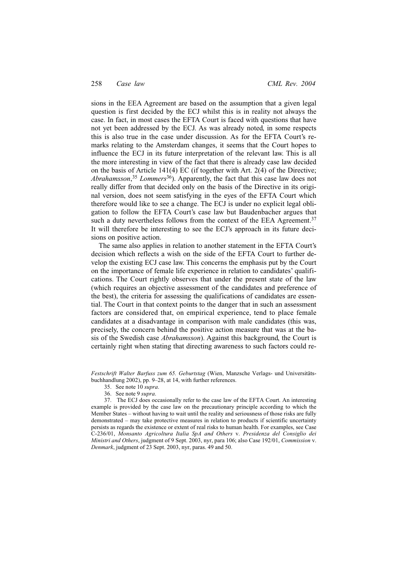sions in the EEA Agreement are based on the assumption that a given legal question is first decided by the ECJ whilst this is in reality not always the case. In fact, in most cases the EFTA Court is faced with questions that have not yet been addressed by the ECJ. As was already noted, in some respects this is also true in the case under discussion. As for the EFTA Court's remarks relating to the Amsterdam changes, it seems that the Court hopes to influence the ECJ in its future interpretation of the relevant law. This is all the more interesting in view of the fact that there is already case law decided on the basis of Article 141(4) EC (if together with Art. 2(4) of the Directive; *Abrahamsson*, <sup>35</sup> *Lommers*36). Apparently, the fact that this case law does not really differ from that decided only on the basis of the Directive in its original version, does not seem satisfying in the eyes of the EFTA Court which therefore would like to see a change. The ECJ is under no explicit legal obligation to follow the EFTA Court's case law but Baudenbacher argues that such a duty nevertheless follows from the context of the EEA Agreement.<sup>37</sup> It will therefore be interesting to see the ECJ's approach in its future decisions on positive action.

The same also applies in relation to another statement in the EFTA Court's decision which reflects a wish on the side of the EFTA Court to further develop the existing ECJ case law. This concerns the emphasis put by the Court on the importance of female life experience in relation to candidates' qualifications. The Court rightly observes that under the present state of the law (which requires an objective assessment of the candidates and preference of the best), the criteria for assessing the qualifications of candidates are essential. The Court in that context points to the danger that in such an assessment factors are considered that, on empirical experience, tend to place female candidates at a disadvantage in comparison with male candidates (this was, precisely, the concern behind the positive action measure that was at the basis of the Swedish case *Abrahamsson*). Against this background, the Court is certainly right when stating that directing awareness to such factors could re-

*Festschrift Walter Barfuss zum 65. Geburtstag* (Wien, Manzsche Verlags- und Universitätsbuchhandlung 2002), pp. 9–28, at 14, with further references.

- 35. See note 10 *supra*.
- 36. See note 9 *supra*.

 37. The ECJ does occasionally refer to the case law of the EFTA Court. An interesting example is provided by the case law on the precautionary principle according to which the Member States – without having to wait until the reality and seriousness of those risks are fully demonstrated – may take protective measures in relation to products if scientific uncertainty persists as regards the existence or extent of real risks to human health. For examples, see Case C-236/01, *Monsanto Agricoltura Italia SpA and Others* v. *Presidenza del Consiglio dei Ministri and Others*, judgment of 9 Sept. 2003, nyr, para 106; also Case 192/01, *Commission* v. *Denmark*, judgment of 23 Sept. 2003, nyr, paras. 49 and 50.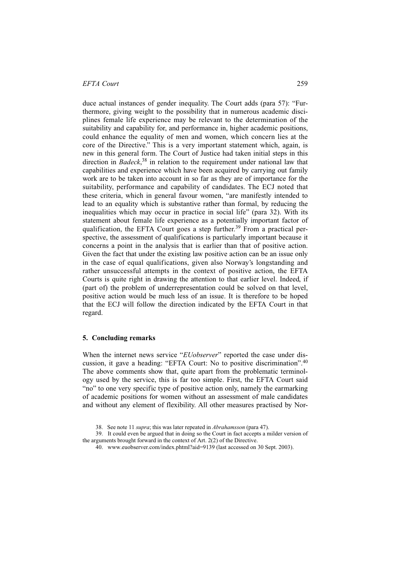duce actual instances of gender inequality. The Court adds (para 57): "Furthermore, giving weight to the possibility that in numerous academic disciplines female life experience may be relevant to the determination of the suitability and capability for, and performance in, higher academic positions, could enhance the equality of men and women, which concern lies at the core of the Directive." This is a very important statement which, again, is new in this general form. The Court of Justice had taken initial steps in this direction in *Badeck*, <sup>38</sup> in relation to the requirement under national law that capabilities and experience which have been acquired by carrying out family work are to be taken into account in so far as they are of importance for the suitability, performance and capability of candidates. The ECJ noted that these criteria, which in general favour women, "are manifestly intended to lead to an equality which is substantive rather than formal, by reducing the inequalities which may occur in practice in social life" (para 32). With its statement about female life experience as a potentially important factor of qualification, the EFTA Court goes a step further.<sup>39</sup> From a practical perspective, the assessment of qualifications is particularly important because it concerns a point in the analysis that is earlier than that of positive action. Given the fact that under the existing law positive action can be an issue only in the case of equal qualifications, given also Norway's longstanding and rather unsuccessful attempts in the context of positive action, the EFTA Courts is quite right in drawing the attention to that earlier level. Indeed, if (part of) the problem of underrepresentation could be solved on that level, positive action would be much less of an issue. It is therefore to be hoped that the ECJ will follow the direction indicated by the EFTA Court in that regard.

# **5. Concluding remarks**

When the internet news service "*EUobserver*" reported the case under discussion, it gave a heading: "EFTA Court: No to positive discrimination".<sup>40</sup> The above comments show that, quite apart from the problematic terminology used by the service, this is far too simple. First, the EFTA Court said "no" to one very specific type of positive action only, namely the earmarking of academic positions for women without an assessment of male candidates and without any element of flexibility. All other measures practised by Nor-

 <sup>38.</sup> See note 11 *supra*; this was later repeated in *Abrahamsson* (para 47).

 <sup>39.</sup> It could even be argued that in doing so the Court in fact accepts a milder version of the arguments brought forward in the context of Art. 2(2) of the Directive.

 <sup>40.</sup> www.euobserver.com/index.phtml?aid=9139 (last accessed on 30 Sept. 2003).